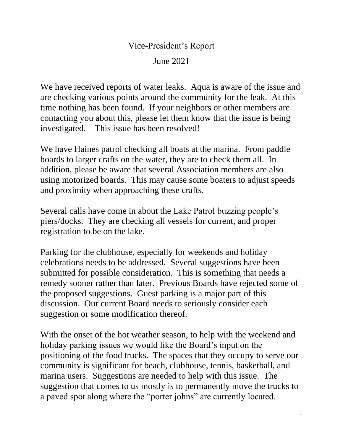## Vice-President's Report June 2021

We have received reports of water leaks. Aqua is aware of the issue and are checking various points around the community for the leak. At this time nothing has been found. If your neighbors or other members are contacting you about this, please let them know that the issue is being investigated. – This issue has been resolved!

We have Haines patrol checking all boats at the marina. From paddle boards to larger crafts on the water, they are to check them all. In addition, please be aware that several Association members are also using motorized boards. This may cause some boaters to adjust speeds and proximity when approaching these crafts.

Several calls have come in about the Lake Patrol buzzing people's piers/docks. They are checking all vessels for current, and proper registration to be on the lake.

Parking for the clubhouse, especially for weekends and holiday celebrations needs to be addressed. Several suggestions have been submitted for possible consideration. This is something that needs a remedy sooner rather than later. Previous Boards have rejected some of the proposed suggestions. Guest parking is a major part of this discussion. Our current Board needs to seriously consider each suggestion or some modification thereof.

With the onset of the hot weather season, to help with the weekend and holiday parking issues we would like the Board's input on the positioning of the food trucks. The spaces that they occupy to serve our community is significant for beach, clubhouse, tennis, basketball, and marina users. Suggestions are needed to help with this issue. The suggestion that comes to us mostly is to permanently move the trucks to a paved spot along where the "porter johns" are currently located.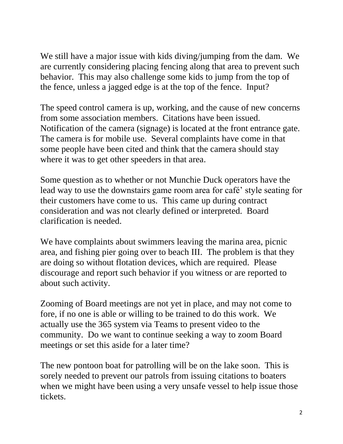We still have a major issue with kids diving/jumping from the dam. We are currently considering placing fencing along that area to prevent such behavior. This may also challenge some kids to jump from the top of the fence, unless a jagged edge is at the top of the fence. Input?

The speed control camera is up, working, and the cause of new concerns from some association members. Citations have been issued. Notification of the camera (signage) is located at the front entrance gate. The camera is for mobile use. Several complaints have come in that some people have been cited and think that the camera should stay where it was to get other speeders in that area.

Some question as to whether or not Munchie Duck operators have the lead way to use the downstairs game room area for café' style seating for their customers have come to us. This came up during contract consideration and was not clearly defined or interpreted. Board clarification is needed.

We have complaints about swimmers leaving the marina area, picnic area, and fishing pier going over to beach III. The problem is that they are doing so without flotation devices, which are required. Please discourage and report such behavior if you witness or are reported to about such activity.

Zooming of Board meetings are not yet in place, and may not come to fore, if no one is able or willing to be trained to do this work. We actually use the 365 system via Teams to present video to the community. Do we want to continue seeking a way to zoom Board meetings or set this aside for a later time?

The new pontoon boat for patrolling will be on the lake soon. This is sorely needed to prevent our patrols from issuing citations to boaters when we might have been using a very unsafe vessel to help issue those tickets.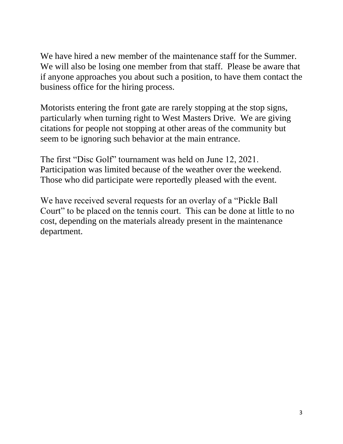We have hired a new member of the maintenance staff for the Summer. We will also be losing one member from that staff. Please be aware that if anyone approaches you about such a position, to have them contact the business office for the hiring process.

Motorists entering the front gate are rarely stopping at the stop signs, particularly when turning right to West Masters Drive. We are giving citations for people not stopping at other areas of the community but seem to be ignoring such behavior at the main entrance.

The first "Disc Golf" tournament was held on June 12, 2021. Participation was limited because of the weather over the weekend. Those who did participate were reportedly pleased with the event.

We have received several requests for an overlay of a "Pickle Ball" Court" to be placed on the tennis court. This can be done at little to no cost, depending on the materials already present in the maintenance department.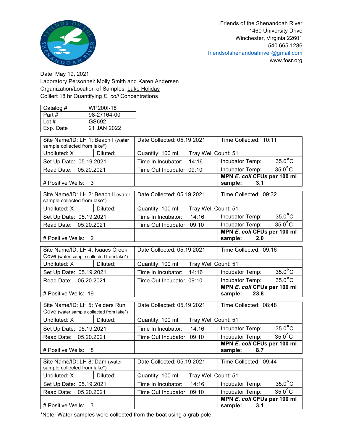

www.fosr.org

Date: May 19, 2021 Laboratory Personnel: Molly Smith and Karen Andersen Organization/Location of Samples: Lake Holiday Colilert 18 hr Quantifying *E. coli* Concentrations

| Catalog # | WP200I-18   |
|-----------|-------------|
| Part#     | 98-27164-00 |
| Lot $#$   | GS692       |
| Exp. Date | 21 JAN 2022 |

| Site Name/ID: LH 1: Beach I (water<br>sample collected from lake*)           |          | Date Collected: 05.19.2021 |                     | Time Collected: 10:11                         |                  |
|------------------------------------------------------------------------------|----------|----------------------------|---------------------|-----------------------------------------------|------------------|
| Undiluted: X                                                                 | Diluted: | Quantity: 100 ml           | Tray Well Count: 51 |                                               |                  |
| Set Up Date: 05.19.2021                                                      |          | Time In Incubator:         | 14:16               | Incubator Temp:                               | $35.0^{\circ}$ C |
| Read Date: 05.20.2021                                                        |          | Time Out Incubator: 09:10  |                     | Incubator Temp:                               | $35.0^{\circ}$ C |
| # Positive Wells:                                                            | 3        |                            |                     | MPN E. coli CFUs per 100 ml<br>sample:<br>3.1 |                  |
| Site Name/ID: LH 2: Beach II (water<br>sample collected from lake*)          |          | Date Collected: 05.19.2021 |                     | Time Collected: 09:32                         |                  |
| Undiluted: X                                                                 | Diluted: | Quantity: 100 ml           | Tray Well Count: 51 |                                               |                  |
| Set Up Date: 05.19.2021                                                      |          | Time In Incubator:         | 14:16               | Incubator Temp:                               | $35.0$ °C        |
| Read Date: 05.20.2021                                                        |          | Time Out Incubator: 09:10  |                     | Incubator Temp:                               | $35.0^{\circ}$ C |
| # Positive Wells: 2                                                          |          |                            |                     | MPN E. coli CFUs per 100 ml<br>sample:<br>2.0 |                  |
| Site Name/ID: LH 4: Isaacs Creek<br>Cove (water sample collected from lake*) |          | Date Collected: 05.19.2021 |                     | Time Collected: 09:16                         |                  |
| Undiluted: X                                                                 | Diluted: | Quantity: 100 ml           | Tray Well Count: 51 |                                               |                  |
| Set Up Date: 05.19.2021                                                      |          | Time In Incubator:         | 14:16               | Incubator Temp:                               | $35.0^{\circ}$ C |
| Read Date: 05.20.2021                                                        |          | Time Out Incubator: 09:10  |                     | Incubator Temp:                               | $35.0^{\circ}$ C |
| # Positive Wells: 19                                                         |          |                            |                     | MPN E. coli CFUs per 100 ml<br>sample: 23.8   |                  |
| Site Name/ID: LH 5: Yeiders Run<br>Cove (water sample collected from lake*)  |          | Date Collected: 05.19.2021 |                     | Time Collected: 08:48                         |                  |
| Undiluted: X                                                                 | Diluted: | Quantity: 100 ml           | Tray Well Count: 51 |                                               |                  |
| Set Up Date: 05.19.2021                                                      |          | Time In Incubator:         | 14:16               | Incubator Temp:                               | $35.0^{\circ}$ C |
| 05.20.2021<br>Read Date:                                                     |          | Time Out Incubator: 09:10  |                     | Incubator Temp:                               | $35.0^{\circ}$ C |
| # Positive Wells:<br>8                                                       |          |                            |                     | MPN E. coli CFUs per 100 ml<br>sample:<br>8.7 |                  |
| Site Name/ID: LH 8: Dam (water<br>sample collected from lake*)               |          | Date Collected: 05.19.2021 |                     | Time Collected: 09:44                         |                  |
| Undiluted: X                                                                 | Diluted: | Quantity: 100 ml           | Tray Well Count: 51 |                                               |                  |
| Set Up Date: 05.19.2021                                                      |          | Time In Incubator:         | 14:16               | Incubator Temp:                               | $35.0^{\circ}$ C |
| Read Date: 05.20.2021                                                        |          | Time Out Incubator: 09:10  |                     | Incubator Temp:                               | $35.0^{\circ}$ C |
| # Positive Wells:<br>3                                                       |          |                            |                     | MPN E. coli CFUs per 100 ml<br>3.1<br>sample: |                  |

\*Note: Water samples were collected from the boat using a grab pole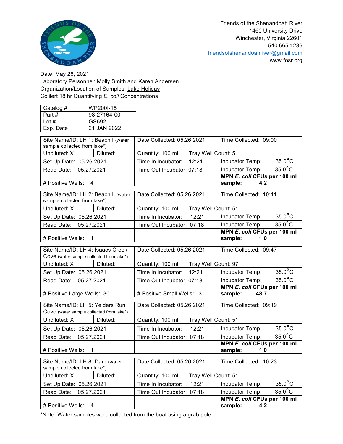

www.fosr.org

Date: May 26, 2021 Laboratory Personnel: Molly Smith and Karen Andersen Organization/Location of Samples: Lake Holiday Colilert 18 hr Quantifying *E. coli* Concentrations

| Catalog # | WP200I-18   |
|-----------|-------------|
| Part#     | 98-27164-00 |
| Lot $#$   | GS692       |
| Exp. Date | 21 JAN 2022 |

| Site Name/ID: LH 1: Beach I (water<br>sample collected from lake*)           |          | Date Collected: 05.26.2021              |                     | Time Collected: 09:00                          |                  |
|------------------------------------------------------------------------------|----------|-----------------------------------------|---------------------|------------------------------------------------|------------------|
| Undiluted: X                                                                 | Diluted: | Quantity: 100 ml                        | Tray Well Count: 51 |                                                |                  |
| Set Up Date: 05.26.2021                                                      |          | Time In Incubator:                      | 12:21               | Incubator Temp:                                | $35.0^{\circ}$ C |
| Read Date: 05.27.2021                                                        |          | Time Out Incubator: 07:18               |                     | Incubator Temp:                                | $35.0^{\circ}$ C |
| # Positive Wells:                                                            | 4        |                                         |                     | MPN E. coli CFUs per 100 ml<br>sample:<br>4.2  |                  |
| Site Name/ID: LH 2: Beach II (water<br>sample collected from lake*)          |          | Date Collected: 05.26.2021              |                     | Time Collected: 10:11                          |                  |
| Undiluted: X                                                                 | Diluted: | Quantity: 100 ml                        | Tray Well Count: 51 |                                                |                  |
| Set Up Date: 05.26.2021                                                      |          | Time In Incubator:                      | 12:21               | Incubator Temp:                                | $35.0^{\circ}$ C |
| 05.27.2021<br>Read Date:                                                     |          | Time Out Incubator: 07:18               |                     | Incubator Temp:                                | $35.0^{\circ}$ C |
| # Positive Wells:                                                            | 1        |                                         |                     | MPN E. coli CFUs per 100 ml<br>sample:<br>1.0  |                  |
| Site Name/ID: LH 4: Isaacs Creek<br>Cove (water sample collected from lake*) |          | Date Collected: 05.26.2021              |                     | Time Collected: 09:47                          |                  |
| Undiluted: X                                                                 | Diluted: | Tray Well Count: 97<br>Quantity: 100 ml |                     |                                                |                  |
| Set Up Date: 05.26.2021                                                      |          | Time In Incubator:                      | 12:21               | Incubator Temp:                                | $35.0^{\circ}$ C |
| Read Date: 05.27.2021                                                        |          | Time Out Incubator: 07:18               |                     | Incubator Temp:                                | $35.0^{\circ}$ C |
| # Positive Large Wells: 30                                                   |          | # Positive Small Wells: 3               |                     | MPN E. coli CFUs per 100 ml<br>sample:<br>48.7 |                  |
| Site Name/ID: LH 5: Yeiders Run<br>Cove (water sample collected from lake*)  |          | Date Collected: 05.26.2021              |                     | Time Collected: 09:19                          |                  |
| Undiluted: X                                                                 | Diluted: | Quantity: 100 ml                        | Tray Well Count: 51 |                                                |                  |
| Set Up Date: 05.26.2021                                                      |          | Time In Incubator:                      | 12:21               | Incubator Temp:                                | $35.0^{\circ}$ C |
| Read Date: 05.27.2021                                                        |          | Time Out Incubator: 07:18               |                     | Incubator Temp:                                | $35.0^{\circ}$ C |
| # Positive Wells:<br>1                                                       |          |                                         |                     | MPN E. coli CFUs per 100 ml<br>sample:<br>1.0  |                  |
| Site Name/ID: LH 8: Dam (water<br>sample collected from lake*)               |          | Date Collected: 05.26.2021              |                     | Time Collected: 10:23                          |                  |
| Undiluted: X                                                                 | Diluted: | Quantity: 100 ml                        | Tray Well Count: 51 |                                                |                  |
| Set Up Date: 05.26.2021                                                      |          | Time In Incubator:                      | 12:21               | Incubator Temp:                                | $35.0^{\circ}$ C |
| Read Date: 05.27.2021                                                        |          | Time Out Incubator: 07:18               |                     | Incubator Temp:                                | $35.0^{\circ}$ C |
| # Positive Wells:<br>4                                                       |          |                                         |                     | MPN E. coli CFUs per 100 ml<br>sample:<br>4.2  |                  |

\*Note: Water samples were collected from the boat using a grab pole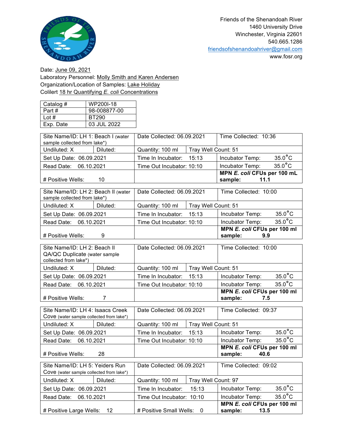

Date: June 09, 2021 Laboratory Personnel: Molly Smith and Karen Andersen Organization/Location of Samples: Lake Holiday Colilert 18 hr Quantifying *E. coli* Concentrations

| Catalog # | WP200I-18    |
|-----------|--------------|
| Part #    | 98-008877-00 |
| Lot #     | BT290        |
| Exp. Date | 03 JUL 2022  |

| Site Name/ID: LH 1: Beach I (water<br>sample collected from lake*) |          | Date Collected: 06.09.2021              |       | Time Collected: 10:36                          |                  |
|--------------------------------------------------------------------|----------|-----------------------------------------|-------|------------------------------------------------|------------------|
| Undiluted: X                                                       | Diluted: | Quantity: 100 ml<br>Tray Well Count: 51 |       |                                                |                  |
| Set Up Date: 06.09.2021                                            |          | Time In Incubator:                      | 15:13 | Incubator Temp:                                | $35.0^{\circ}$ C |
| Read Date: 06.10.2021                                              |          | Time Out Incubator: 10:10               |       | Incubator Temp:                                | $35.0^{\circ}$ C |
| # Positive Wells:<br>10                                            |          |                                         |       | MPN E. coli CFUs per 100 mL<br>11.1<br>sample: |                  |

| Site Name/ID: LH 2: Beach II (water<br>Date Collected: 06.09.2021<br>sample collected from lake*) |          |                                         | Time Collected: 10:00 |                                               |                  |
|---------------------------------------------------------------------------------------------------|----------|-----------------------------------------|-----------------------|-----------------------------------------------|------------------|
| Undiluted: X                                                                                      | Diluted: | Quantity: 100 ml<br>Tray Well Count: 51 |                       |                                               |                  |
| Set Up Date: 06.09.2021                                                                           |          | Time In Incubator: 15:13                |                       | Incubator Temp:                               | $35.0^{\circ}$ C |
| Read Date: 06.10.2021                                                                             |          | Time Out Incubator: 10:10               |                       | Incubator Temp:                               | $35.0^{\circ}$ C |
| # Positive Wells:<br>9                                                                            |          |                                         |                       | MPN E. coli CFUs per 100 ml<br>sample:<br>9.9 |                  |

| Site Name/ID: LH 2: Beach II<br>QA/QC Duplicate (water sample<br>collected from lake*) |          | Date Collected: 06.09.2021 |                     | Time Collected: 10:00                         |                  |
|----------------------------------------------------------------------------------------|----------|----------------------------|---------------------|-----------------------------------------------|------------------|
| Undiluted: X                                                                           | Diluted: | Quantity: 100 ml           | Tray Well Count: 51 |                                               |                  |
| Set Up Date: 06.09.2021                                                                |          | Time In Incubator: 15:13   |                     | Incubator Temp:                               | $35.0^{\circ}$ C |
| Read Date: 06.10.2021                                                                  |          | Time Out Incubator: 10:10  |                     | Incubator Temp:                               | $35.0^{\circ}$ C |
| # Positive Wells:                                                                      |          |                            |                     | MPN E. coli CFUs per 100 ml<br>sample:<br>7.5 |                  |

| Site Name/ID: LH 4: Isaacs Creek<br>Cove (water sample collected from lake*) |          | Date Collected: 06.09.2021              |       | Time Collected: 09:37                          |                  |
|------------------------------------------------------------------------------|----------|-----------------------------------------|-------|------------------------------------------------|------------------|
| Undiluted: X                                                                 | Diluted: | Quantity: 100 ml<br>Tray Well Count: 51 |       |                                                |                  |
| Set Up Date: 06.09.2021                                                      |          | Time In Incubator:                      | 15:13 | Incubator Temp:                                | $35.0^{\circ}$ C |
| Read Date: 06.10.2021                                                        |          | Time Out Incubator: 10:10               |       | Incubator Temp:                                | $35.0^{\circ}$ C |
| # Positive Wells:<br>28                                                      |          |                                         |       | MPN E. coli CFUs per 100 ml<br>40.6<br>sample: |                  |

| Site Name/ID: LH 5: Yeiders Run          |          | Date Collected: 06.09.2021              |       | Time Collected: 09:02                          |                  |
|------------------------------------------|----------|-----------------------------------------|-------|------------------------------------------------|------------------|
| Cove (water sample collected from lake*) |          |                                         |       |                                                |                  |
| Undiluted: X                             | Diluted: | Quantity: 100 ml<br>Tray Well Count: 97 |       |                                                |                  |
| Set Up Date: 06.09.2021                  |          | Time In Incubator:                      | 15:13 | Incubator Temp:                                | $35.0^{\circ}$ C |
| Read Date: 06.10.2021                    |          | Time Out Incubator: 10:10               |       | Incubator Temp:                                | $35.0^{\circ}$ C |
| # Positive Large Wells: 12               |          | # Positive Small Wells: 0               |       | MPN E. coli CFUs per 100 ml<br>sample:<br>13.5 |                  |
|                                          |          |                                         |       |                                                |                  |